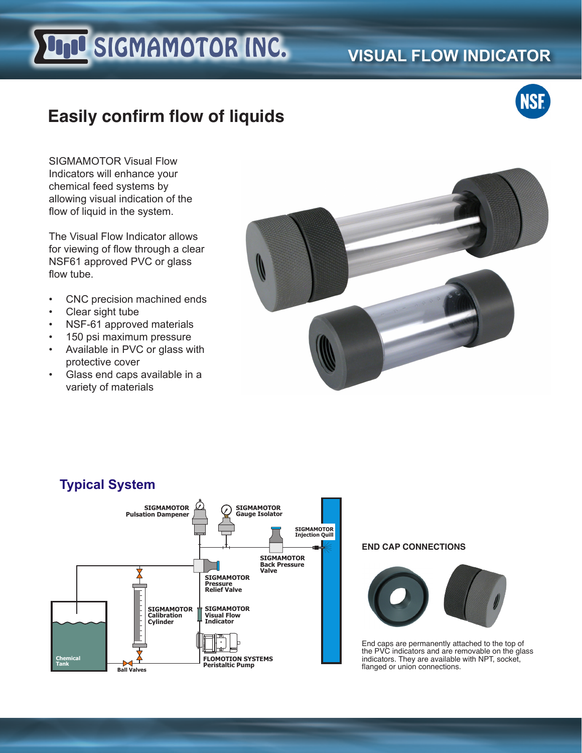# **Und SIGMAMOTOR INC.**

# **VISUAL FLOW INDICATOR**



## **Easily confirm flow of liquids**

SIGMAMOTOR Visual Flow Indicators will enhance your chemical feed systems by allowing visual indication of the flow of liquid in the system.

The Visual Flow Indicator allows for viewing of flow through a clear NSF61 approved PVC or glass flow tube.

- CNC precision machined ends
- Clear sight tube
- NSF-61 approved materials
- 150 psi maximum pressure
- Available in PVC or glass with protective cover
- Glass end caps available in a variety of materials





#### **END CAP CONNECTIONS**



End caps are permanently attached to the top of the PVC indicators and are removable on the glass indicators. They are available with NPT, socket, flanged or union connections.